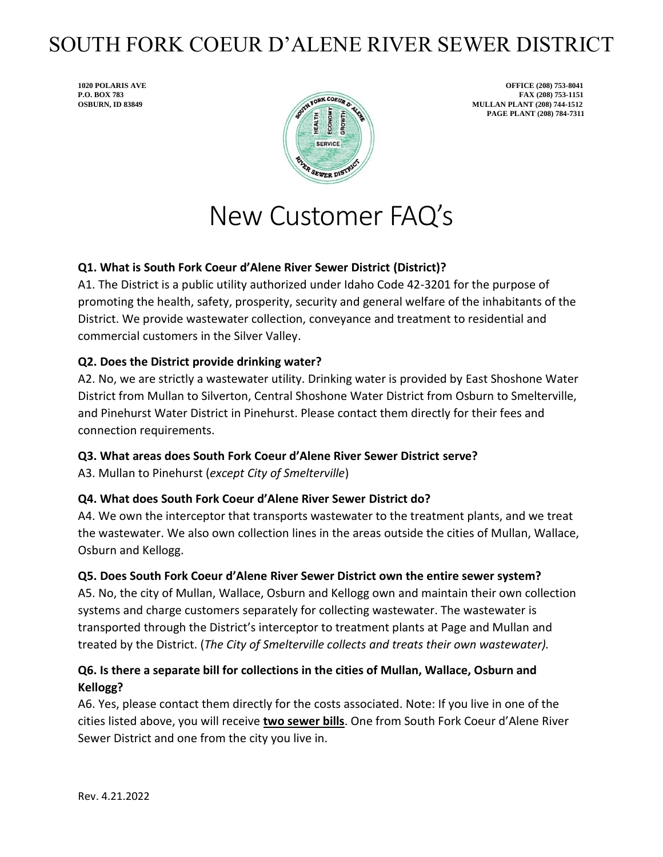# SOUTH FORK COEUR D'ALENE RIVER SEWER DISTRICT



**1020 POLARIS AVE OFFICE (208) 753-8041 PAGE PLANT (208) 784-7311**

# New Customer FAQ's

## **Q1. What is South Fork Coeur d'Alene River Sewer District (District)?**

A1. The District is a public utility authorized under Idaho Code 42-3201 for the purpose of promoting the health, safety, prosperity, security and general welfare of the inhabitants of the District. We provide wastewater collection, conveyance and treatment to residential and commercial customers in the Silver Valley.

## **Q2. Does the District provide drinking water?**

A2. No, we are strictly a wastewater utility. Drinking water is provided by East Shoshone Water District from Mullan to Silverton, Central Shoshone Water District from Osburn to Smelterville, and Pinehurst Water District in Pinehurst. Please contact them directly for their fees and connection requirements.

## **Q3. What areas does South Fork Coeur d'Alene River Sewer District serve?**

A3. Mullan to Pinehurst (*except City of Smelterville*)

#### **Q4. What does South Fork Coeur d'Alene River Sewer District do?**

A4. We own the interceptor that transports wastewater to the treatment plants, and we treat the wastewater. We also own collection lines in the areas outside the cities of Mullan, Wallace, Osburn and Kellogg.

#### **Q5. Does South Fork Coeur d'Alene River Sewer District own the entire sewer system?**

A5. No, the city of Mullan, Wallace, Osburn and Kellogg own and maintain their own collection systems and charge customers separately for collecting wastewater. The wastewater is transported through the District's interceptor to treatment plants at Page and Mullan and treated by the District. (*The City of Smelterville collects and treats their own wastewater).*

# **Q6. Is there a separate bill for collections in the cities of Mullan, Wallace, Osburn and Kellogg?**

A6. Yes, please contact them directly for the costs associated. Note: If you live in one of the cities listed above, you will receive **two sewer bills**. One from South Fork Coeur d'Alene River Sewer District and one from the city you live in.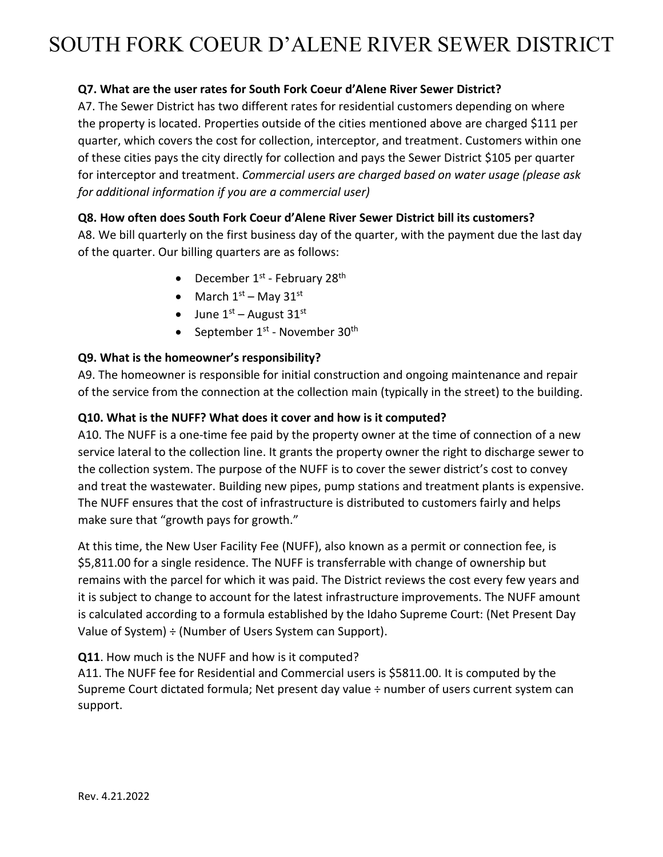# SOUTH FORK COEUR D'ALENE RIVER SEWER DISTRICT

### **Q7. What are the user rates for South Fork Coeur d'Alene River Sewer District?**

A7. The Sewer District has two different rates for residential customers depending on where the property is located. Properties outside of the cities mentioned above are charged \$111 per quarter, which covers the cost for collection, interceptor, and treatment. Customers within one of these cities pays the city directly for collection and pays the Sewer District \$105 per quarter for interceptor and treatment. *Commercial users are charged based on water usage (please ask for additional information if you are a commercial user)*

#### **Q8. How often does South Fork Coeur d'Alene River Sewer District bill its customers?**

A8. We bill quarterly on the first business day of the quarter, with the payment due the last day of the quarter. Our billing quarters are as follows:

- December  $1^{st}$  February 28<sup>th</sup>
- March  $1<sup>st</sup>$  May  $31<sup>st</sup>$
- June  $1<sup>st</sup>$  August  $31<sup>st</sup>$
- September  $1^{st}$  November 30<sup>th</sup>

#### **Q9. What is the homeowner's responsibility?**

A9. The homeowner is responsible for initial construction and ongoing maintenance and repair of the service from the connection at the collection main (typically in the street) to the building.

#### **Q10. What is the NUFF? What does it cover and how is it computed?**

A10. The NUFF is a one-time fee paid by the property owner at the time of connection of a new service lateral to the collection line. It grants the property owner the right to discharge sewer to the collection system. The purpose of the NUFF is to cover the sewer district's cost to convey and treat the wastewater. Building new pipes, pump stations and treatment plants is expensive. The NUFF ensures that the cost of infrastructure is distributed to customers fairly and helps make sure that "growth pays for growth."

At this time, the New User Facility Fee (NUFF), also known as a permit or connection fee, is \$5,811.00 for a single residence. The NUFF is transferrable with change of ownership but remains with the parcel for which it was paid. The District reviews the cost every few years and it is subject to change to account for the latest infrastructure improvements. The NUFF amount is calculated according to a formula established by the Idaho Supreme Court: (Net Present Day Value of System) ÷ (Number of Users System can Support).

**Q11**. How much is the NUFF and how is it computed?

A11. The NUFF fee for Residential and Commercial users is \$5811.00. It is computed by the Supreme Court dictated formula; Net present day value ÷ number of users current system can support.